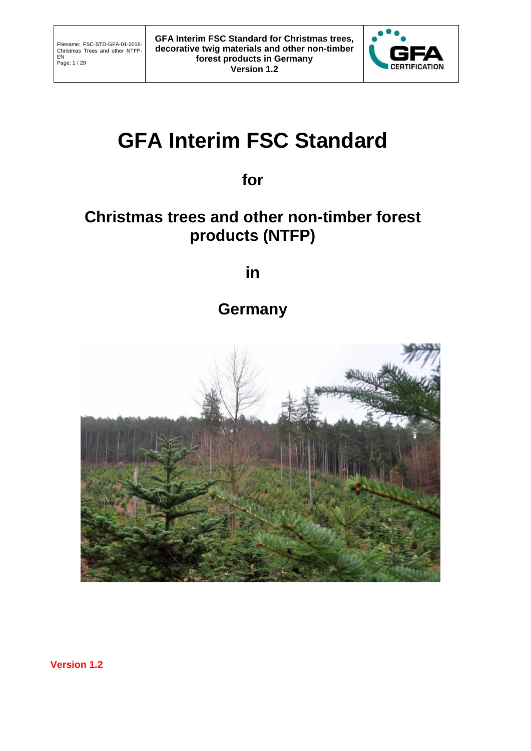

# **GFA Interim FSC Standard**

**for** 

## **Christmas trees and other non-timber forest products (NTFP)**

**in** 

**Germany**



**Version 1.2**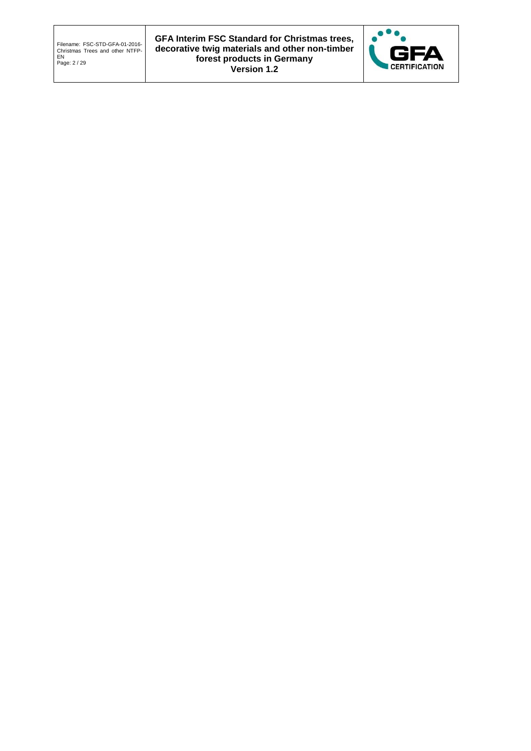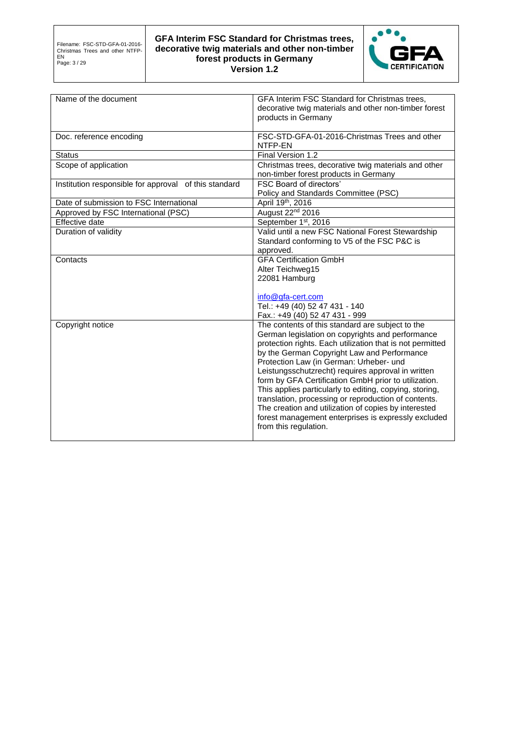### **GFA Interim FSC Standard for Christmas trees, decorative twig materials and other non-timber forest products in Germany**



**Version 1.2**

| Name of the document                                  | GFA Interim FSC Standard for Christmas trees,<br>decorative twig materials and other non-timber forest<br>products in Germany                                                                                                                                                                                                                                                                                                                                                                                                                                                                                                        |
|-------------------------------------------------------|--------------------------------------------------------------------------------------------------------------------------------------------------------------------------------------------------------------------------------------------------------------------------------------------------------------------------------------------------------------------------------------------------------------------------------------------------------------------------------------------------------------------------------------------------------------------------------------------------------------------------------------|
| Doc. reference encoding                               | FSC-STD-GFA-01-2016-Christmas Trees and other<br>NTFP-EN                                                                                                                                                                                                                                                                                                                                                                                                                                                                                                                                                                             |
| <b>Status</b>                                         | Final Version 1.2                                                                                                                                                                                                                                                                                                                                                                                                                                                                                                                                                                                                                    |
| Scope of application                                  | Christmas trees, decorative twig materials and other<br>non-timber forest products in Germany                                                                                                                                                                                                                                                                                                                                                                                                                                                                                                                                        |
| Institution responsible for approval of this standard | FSC Board of directors'<br>Policy and Standards Committee (PSC)                                                                                                                                                                                                                                                                                                                                                                                                                                                                                                                                                                      |
| Date of submission to FSC International               | April 19 <sup>th</sup> , 2016                                                                                                                                                                                                                                                                                                                                                                                                                                                                                                                                                                                                        |
| Approved by FSC International (PSC)                   | August 22 <sup>nd</sup> 2016                                                                                                                                                                                                                                                                                                                                                                                                                                                                                                                                                                                                         |
| Effective date                                        | September 1st, 2016                                                                                                                                                                                                                                                                                                                                                                                                                                                                                                                                                                                                                  |
| Duration of validity                                  | Valid until a new FSC National Forest Stewardship<br>Standard conforming to V5 of the FSC P&C is<br>approved.                                                                                                                                                                                                                                                                                                                                                                                                                                                                                                                        |
| Contacts                                              | <b>GFA Certification GmbH</b><br>Alter Teichweg15<br>22081 Hamburg<br>info@gfa-cert.com<br>Tel.: +49 (40) 52 47 431 - 140<br>Fax.: +49 (40) 52 47 431 - 999                                                                                                                                                                                                                                                                                                                                                                                                                                                                          |
| Copyright notice                                      | The contents of this standard are subject to the<br>German legislation on copyrights and performance<br>protection rights. Each utilization that is not permitted<br>by the German Copyright Law and Performance<br>Protection Law (in German: Urheber- und<br>Leistungsschutzrecht) requires approval in written<br>form by GFA Certification GmbH prior to utilization.<br>This applies particularly to editing, copying, storing,<br>translation, processing or reproduction of contents.<br>The creation and utilization of copies by interested<br>forest management enterprises is expressly excluded<br>from this regulation. |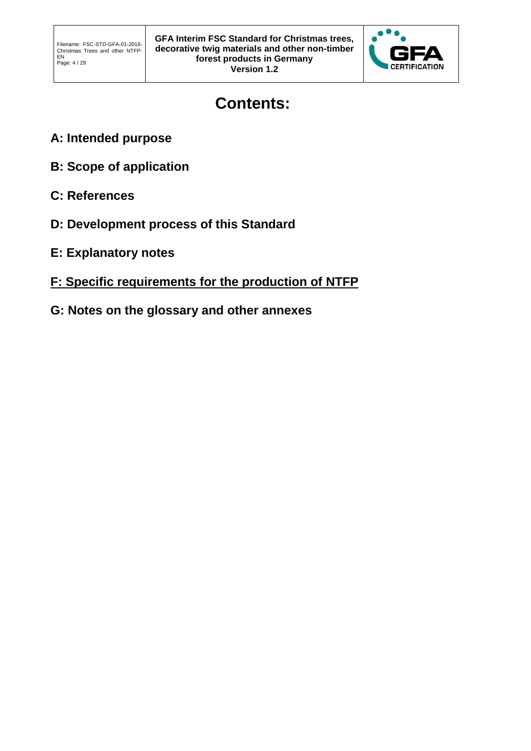

# **Contents:**

- **A: Intended purpose**
- **B: Scope of application**
- **C: References**
- **D: Development process of this Standard**
- **E: Explanatory notes**

### **F: Specific requirements for the production of NTFP**

**G: Notes on the glossary and other annexes**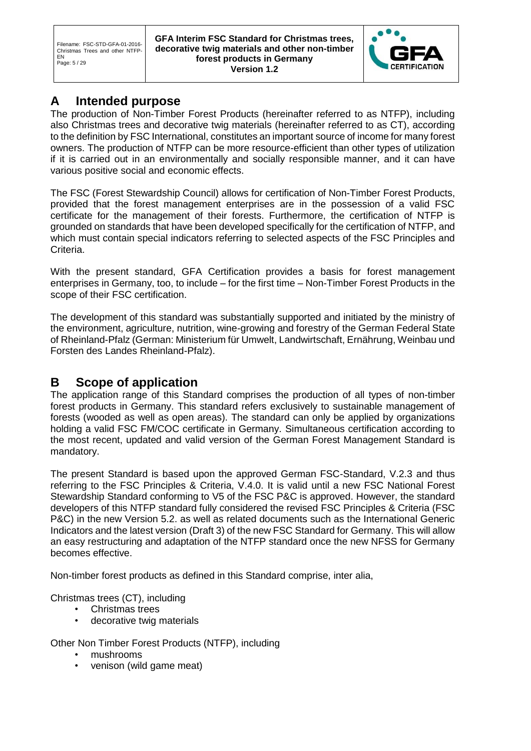

### **A Intended purpose**

The production of Non-Timber Forest Products (hereinafter referred to as NTFP), including also Christmas trees and decorative twig materials (hereinafter referred to as CT), according to the definition by FSC International, constitutes an important source of income for many forest owners. The production of NTFP can be more resource-efficient than other types of utilization if it is carried out in an environmentally and socially responsible manner, and it can have various positive social and economic effects.

The FSC (Forest Stewardship Council) allows for certification of Non-Timber Forest Products, provided that the forest management enterprises are in the possession of a valid FSC certificate for the management of their forests. Furthermore, the certification of NTFP is grounded on standards that have been developed specifically for the certification of NTFP, and which must contain special indicators referring to selected aspects of the FSC Principles and Criteria.

With the present standard, GFA Certification provides a basis for forest management enterprises in Germany, too, to include – for the first time – Non-Timber Forest Products in the scope of their FSC certification.

The development of this standard was substantially supported and initiated by the ministry of the environment, agriculture, nutrition, wine-growing and forestry of the German Federal State of Rheinland-Pfalz (German: Ministerium für Umwelt, Landwirtschaft, Ernährung, Weinbau und Forsten des Landes Rheinland-Pfalz).

### **B Scope of application**

The application range of this Standard comprises the production of all types of non-timber forest products in Germany. This standard refers exclusively to sustainable management of forests (wooded as well as open areas). The standard can only be applied by organizations holding a valid FSC FM/COC certificate in Germany. Simultaneous certification according to the most recent, updated and valid version of the German Forest Management Standard is mandatory.

The present Standard is based upon the approved German FSC-Standard, V.2.3 and thus referring to the FSC Principles & Criteria, V.4.0. It is valid until a new FSC National Forest Stewardship Standard conforming to V5 of the FSC P&C is approved. However, the standard developers of this NTFP standard fully considered the revised FSC Principles & Criteria (FSC P&C) in the new Version 5.2. as well as related documents such as the International Generic Indicators and the latest version (Draft 3) of the new FSC Standard for Germany. This will allow an easy restructuring and adaptation of the NTFP standard once the new NFSS for Germany becomes effective.

Non-timber forest products as defined in this Standard comprise, inter alia,

Christmas trees (CT), including

- Christmas trees
- decorative twig materials

Other Non Timber Forest Products (NTFP), including

- mushrooms
- venison (wild game meat)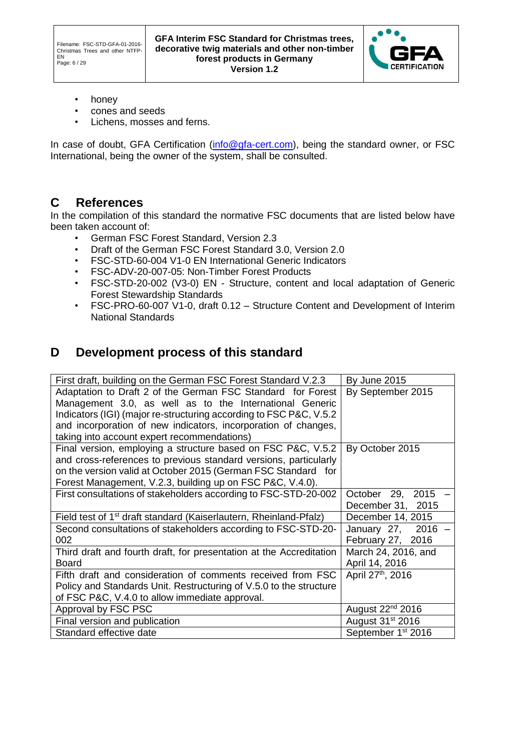

- honey
- cones and seeds
- Lichens, mosses and ferns.

In case of doubt, GFA Certification [\(info@gfa-cert.com\)](mailto:info@gfa-cert.com), being the standard owner, or FSC International, being the owner of the system, shall be consulted.

### **C References**

In the compilation of this standard the normative FSC documents that are listed below have been taken account of:

- German FSC Forest Standard, Version 2.3
- Draft of the German FSC Forest Standard 3.0, Version 2.0
- FSC-STD-60-004 V1-0 EN International Generic Indicators
- FSC-ADV-20-007-05: Non-Timber Forest Products
- FSC-STD-20-002 (V3-0) EN Structure, content and local adaptation of Generic Forest Stewardship Standards
- FSC-PRO-60-007 V1-0, draft 0.12 Structure Content and Development of Interim National Standards

### **D Development process of this standard**

| First draft, building on the German FSC Forest Standard V.2.3                 | <b>By June 2015</b>            |
|-------------------------------------------------------------------------------|--------------------------------|
| Adaptation to Draft 2 of the German FSC Standard for Forest                   | By September 2015              |
| Management 3.0, as well as to the International Generic                       |                                |
| Indicators (IGI) (major re-structuring according to FSC P&C, V.5.2            |                                |
| and incorporation of new indicators, incorporation of changes,                |                                |
| taking into account expert recommendations)                                   |                                |
| Final version, employing a structure based on FSC P&C, V.5.2                  | By October 2015                |
| and cross-references to previous standard versions, particularly              |                                |
| on the version valid at October 2015 (German FSC Standard for                 |                                |
| Forest Management, V.2.3, building up on FSC P&C, V.4.0).                     |                                |
| First consultations of stakeholders according to FSC-STD-20-002               | October 29, 2015               |
|                                                                               | December 31, 2015              |
| Field test of 1 <sup>st</sup> draft standard (Kaiserlautern, Rheinland-Pfalz) | December 14, 2015              |
| Second consultations of stakeholders according to FSC-STD-20-                 | January 27, 2016 -             |
| 002                                                                           | February 27, 2016              |
| Third draft and fourth draft, for presentation at the Accreditation           | March 24, 2016, and            |
| <b>Board</b>                                                                  | April 14, 2016                 |
| Fifth draft and consideration of comments received from FSC                   | April 27 <sup>th</sup> , 2016  |
| Policy and Standards Unit. Restructuring of V.5.0 to the structure            |                                |
| of FSC P&C, V.4.0 to allow immediate approval.                                |                                |
| Approval by FSC PSC                                                           | August $22nd 2016$             |
| Final version and publication                                                 | August 31 <sup>st</sup> 2016   |
| Standard effective date                                                       | September 1 <sup>st</sup> 2016 |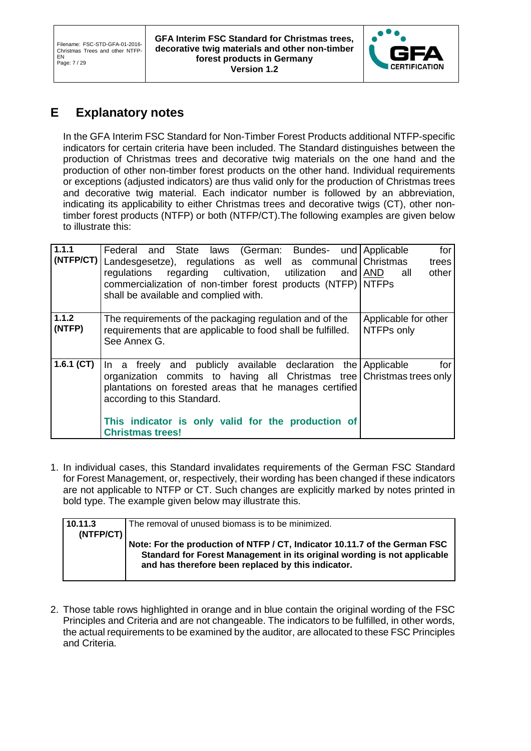Filename: FSC-STD-GFA-01-2016- Christmas Trees and other NTFP-EN Page: 7 / 29



### **E Explanatory notes**

In the GFA Interim FSC Standard for Non-Timber Forest Products additional NTFP-specific indicators for certain criteria have been included. The Standard distinguishes between the production of Christmas trees and decorative twig materials on the one hand and the production of other non-timber forest products on the other hand. Individual requirements or exceptions (adjusted indicators) are thus valid only for the production of Christmas trees and decorative twig material. Each indicator number is followed by an abbreviation, indicating its applicability to either Christmas trees and decorative twigs (CT), other nontimber forest products (NTFP) or both (NTFP/CT).The following examples are given below to illustrate this:

| 1.1.1           | Federal and State laws (German: Bundes- und Applicable<br>(NTFP/CT)   Landesgesetze), regulations as well as communal   Christmas<br>regulations regarding cultivation, utilization and AND<br>commercialization of non-timber forest products (NTFP) NTFPs<br>shall be available and complied with.               | for<br>trees<br>other<br>all       |
|-----------------|--------------------------------------------------------------------------------------------------------------------------------------------------------------------------------------------------------------------------------------------------------------------------------------------------------------------|------------------------------------|
| 1.1.2<br>(NTFP) | The requirements of the packaging regulation and of the<br>requirements that are applicable to food shall be fulfilled.<br>See Annex G.                                                                                                                                                                            | Applicable for other<br>NTFPs only |
| $1.6.1$ (CT)    | In a freely and publicly available declaration the Applicable<br>organization commits to having all Christmas tree Christmas trees only<br>plantations on forested areas that he manages certified<br>according to this Standard.<br>This indicator is only valid for the production of<br><b>Christmas trees!</b> | for                                |

1. In individual cases, this Standard invalidates requirements of the German FSC Standard for Forest Management, or, respectively, their wording has been changed if these indicators are not applicable to NTFP or CT. Such changes are explicitly marked by notes printed in bold type. The example given below may illustrate this.

| 10.11.3   | The removal of unused biomass is to be minimized.                                                                                                                                                            |
|-----------|--------------------------------------------------------------------------------------------------------------------------------------------------------------------------------------------------------------|
| (NTFP/CT) |                                                                                                                                                                                                              |
|           | Note: For the production of NTFP / CT, Indicator 10.11.7 of the German FSC<br>Standard for Forest Management in its original wording is not applicable<br>and has therefore been replaced by this indicator. |

2. Those table rows highlighted in orange and in blue contain the original wording of the FSC Principles and Criteria and are not changeable. The indicators to be fulfilled, in other words, the actual requirements to be examined by the auditor, are allocated to these FSC Principles and Criteria.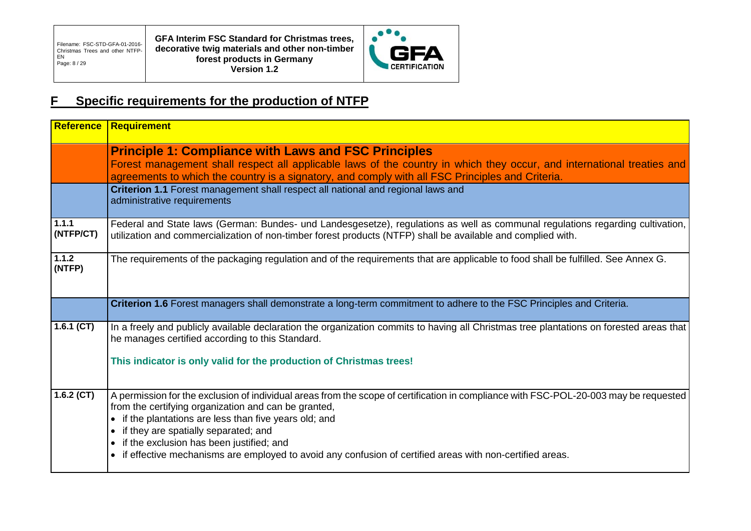Filename: FSC-STD-GFA-01-2016- Christmas Trees and other NTFP-EN Page: 8 / 29

**GFA Interim FSC Standard for Christmas trees, decorative twig materials and other non-timber forest products in Germany Version 1.2**



### **F Specific requirements for the production of NTFP**

|                    | <b>Reference   Requirement</b>                                                                                                                                                                                                                                                                                                                                                                                                                                           |
|--------------------|--------------------------------------------------------------------------------------------------------------------------------------------------------------------------------------------------------------------------------------------------------------------------------------------------------------------------------------------------------------------------------------------------------------------------------------------------------------------------|
|                    | <b>Principle 1: Compliance with Laws and FSC Principles</b><br>Forest management shall respect all applicable laws of the country in which they occur, and international treaties and<br>agreements to which the country is a signatory, and comply with all FSC Principles and Criteria.                                                                                                                                                                                |
|                    | Criterion 1.1 Forest management shall respect all national and regional laws and<br>administrative requirements                                                                                                                                                                                                                                                                                                                                                          |
| 1.1.1<br>(NTFP/CT) | Federal and State laws (German: Bundes- und Landesgesetze), regulations as well as communal regulations regarding cultivation,<br>utilization and commercialization of non-timber forest products (NTFP) shall be available and complied with.                                                                                                                                                                                                                           |
| 1.1.2<br>(NTFP)    | The requirements of the packaging regulation and of the requirements that are applicable to food shall be fulfilled. See Annex G.                                                                                                                                                                                                                                                                                                                                        |
|                    | Criterion 1.6 Forest managers shall demonstrate a long-term commitment to adhere to the FSC Principles and Criteria.                                                                                                                                                                                                                                                                                                                                                     |
| 1.6.1 $(CT)$       | In a freely and publicly available declaration the organization commits to having all Christmas tree plantations on forested areas that<br>he manages certified according to this Standard.<br>This indicator is only valid for the production of Christmas trees!                                                                                                                                                                                                       |
| 1.6.2 (CT)         | A permission for the exclusion of individual areas from the scope of certification in compliance with FSC-POL-20-003 may be requested<br>from the certifying organization and can be granted,<br>• if the plantations are less than five years old; and<br>• if they are spatially separated; and<br>• if the exclusion has been justified; and<br>if effective mechanisms are employed to avoid any confusion of certified areas with non-certified areas.<br>$\bullet$ |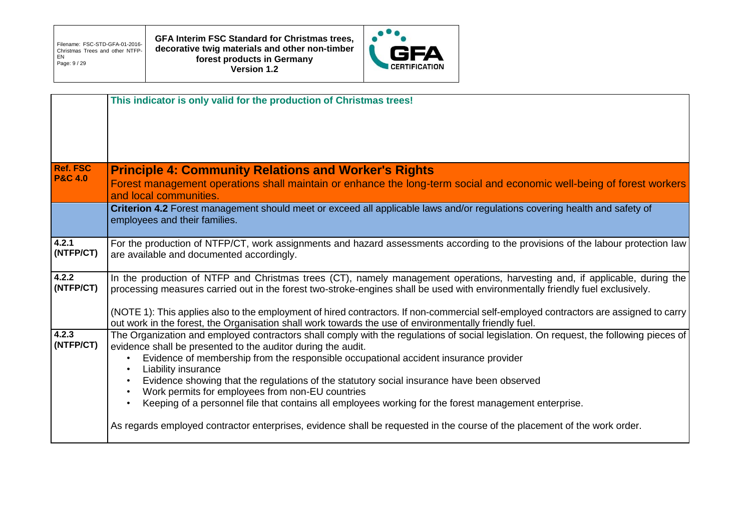| Filename: FSC-STD-GFA-01-2016-<br>Christmas Trees and other NTFP- |
|-------------------------------------------------------------------|
| EN                                                                |
| Page: 9 / 29                                                      |

 $\Gamma$ 

#### **GFA Interim FSC Standard for Christmas trees, decorative twig materials and other non-timber forest products in Germany Version 1.2**



|                                       | This indicator is only valid for the production of Christmas trees!                                                                                                                                                                                                                                                                                                                                                                                                                                                                                                                                                                                                                                                                                                                                                    |
|---------------------------------------|------------------------------------------------------------------------------------------------------------------------------------------------------------------------------------------------------------------------------------------------------------------------------------------------------------------------------------------------------------------------------------------------------------------------------------------------------------------------------------------------------------------------------------------------------------------------------------------------------------------------------------------------------------------------------------------------------------------------------------------------------------------------------------------------------------------------|
| <b>Ref. FSC</b><br><b>P&amp;C 4.0</b> | <b>Principle 4: Community Relations and Worker's Rights</b><br>Forest management operations shall maintain or enhance the long-term social and economic well-being of forest workers<br>and local communities.                                                                                                                                                                                                                                                                                                                                                                                                                                                                                                                                                                                                         |
|                                       | Criterion 4.2 Forest management should meet or exceed all applicable laws and/or regulations covering health and safety of<br>employees and their families.                                                                                                                                                                                                                                                                                                                                                                                                                                                                                                                                                                                                                                                            |
| 4.2.1<br>(NTFP/CT)                    | For the production of NTFP/CT, work assignments and hazard assessments according to the provisions of the labour protection law<br>are available and documented accordingly.                                                                                                                                                                                                                                                                                                                                                                                                                                                                                                                                                                                                                                           |
| 4.2.2<br>(NTFP/CT)                    | In the production of NTFP and Christmas trees (CT), namely management operations, harvesting and, if applicable, during the<br>processing measures carried out in the forest two-stroke-engines shall be used with environmentally friendly fuel exclusively.<br>(NOTE 1): This applies also to the employment of hired contractors. If non-commercial self-employed contractors are assigned to carry                                                                                                                                                                                                                                                                                                                                                                                                                 |
| 4.2.3<br>(NTFP/CT)                    | out work in the forest, the Organisation shall work towards the use of environmentally friendly fuel.<br>The Organization and employed contractors shall comply with the regulations of social legislation. On request, the following pieces of<br>evidence shall be presented to the auditor during the audit.<br>Evidence of membership from the responsible occupational accident insurance provider<br>Liability insurance<br>Evidence showing that the regulations of the statutory social insurance have been observed<br>Work permits for employees from non-EU countries<br>Keeping of a personnel file that contains all employees working for the forest management enterprise.<br>As regards employed contractor enterprises, evidence shall be requested in the course of the placement of the work order. |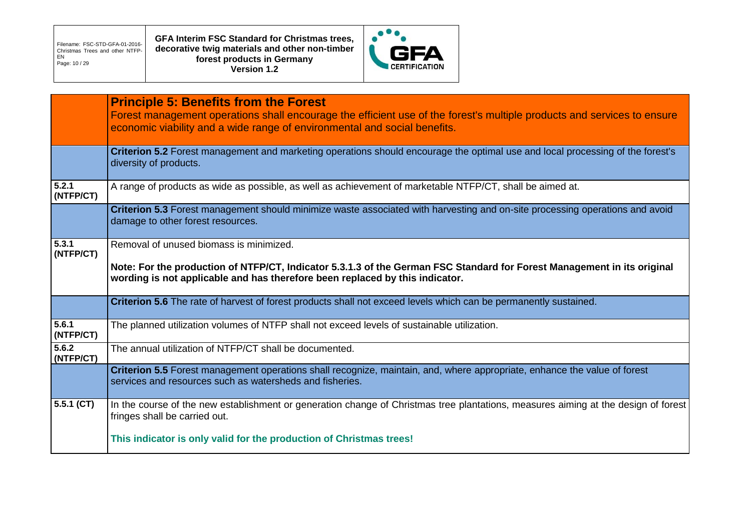| Filename: FSC-STD-GFA-01-2016-<br>Christmas Trees and other NTFP- |
|-------------------------------------------------------------------|
| EN                                                                |
| Page: 10 / 29                                                     |
|                                                                   |

ı

**GFA Interim FSC Standard for Christmas trees, decorative twig materials and other non-timber forest products in Germany Version 1.2**



|                    | <b>Principle 5: Benefits from the Forest</b><br>Forest management operations shall encourage the efficient use of the forest's multiple products and services to ensure<br>economic viability and a wide range of environmental and social benefits. |
|--------------------|------------------------------------------------------------------------------------------------------------------------------------------------------------------------------------------------------------------------------------------------------|
|                    | Criterion 5.2 Forest management and marketing operations should encourage the optimal use and local processing of the forest's<br>diversity of products.                                                                                             |
| 5.2.1<br>(NTFP/CT) | A range of products as wide as possible, as well as achievement of marketable NTFP/CT, shall be aimed at.                                                                                                                                            |
|                    | Criterion 5.3 Forest management should minimize waste associated with harvesting and on-site processing operations and avoid<br>damage to other forest resources.                                                                                    |
| 5.3.1<br>(NTFP/CT) | Removal of unused biomass is minimized.<br>Note: For the production of NTFP/CT, Indicator 5.3.1.3 of the German FSC Standard for Forest Management in its original<br>wording is not applicable and has therefore been replaced by this indicator.   |
|                    | Criterion 5.6 The rate of harvest of forest products shall not exceed levels which can be permanently sustained.                                                                                                                                     |
| 5.6.1<br>(NTFP/CT) | The planned utilization volumes of NTFP shall not exceed levels of sustainable utilization.                                                                                                                                                          |
| 5.6.2<br>(NTFP/CT) | The annual utilization of NTFP/CT shall be documented.                                                                                                                                                                                               |
|                    | Criterion 5.5 Forest management operations shall recognize, maintain, and, where appropriate, enhance the value of forest<br>services and resources such as watersheds and fisheries.                                                                |
| $5.5.1$ (CT)       | In the course of the new establishment or generation change of Christmas tree plantations, measures aiming at the design of forest<br>fringes shall be carried out.                                                                                  |
|                    | This indicator is only valid for the production of Christmas trees!                                                                                                                                                                                  |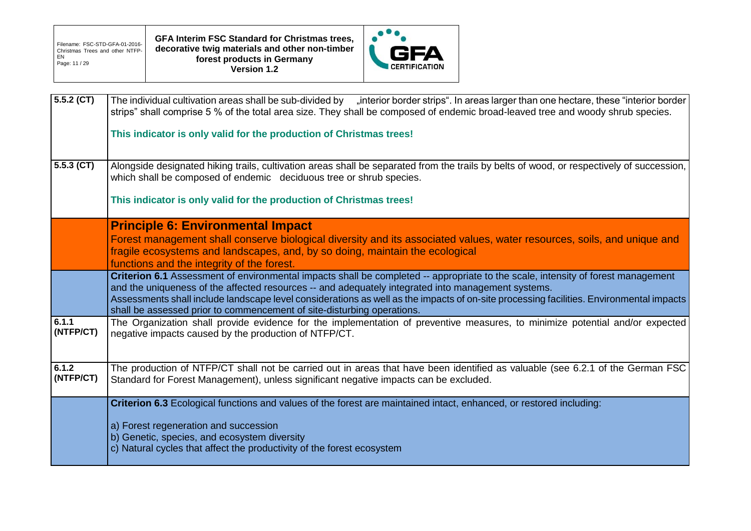| Filename: FSC-STD-GFA-01-2016-  | <b>GFA Interim FSC Standard for Christmas trees,</b> |
|---------------------------------|------------------------------------------------------|
| Christmas Trees and other NTFP- | decorative twig materials and other non-timber       |
| EN                              | forest products in Germany                           |
| Page: 11 / 29                   | <b>Version 1.2</b>                                   |



| $5.5.2$ (CT)       | The individual cultivation areas shall be sub-divided by "interior border strips". In areas larger than one hectare, these "interior border"<br>strips" shall comprise 5 % of the total area size. They shall be composed of endemic broad-leaved tree and woody shrub species.<br>This indicator is only valid for the production of Christmas trees!                                                                                                      |
|--------------------|-------------------------------------------------------------------------------------------------------------------------------------------------------------------------------------------------------------------------------------------------------------------------------------------------------------------------------------------------------------------------------------------------------------------------------------------------------------|
| $5.5.3$ (CT)       | Alongside designated hiking trails, cultivation areas shall be separated from the trails by belts of wood, or respectively of succession,<br>which shall be composed of endemic deciduous tree or shrub species.                                                                                                                                                                                                                                            |
|                    | This indicator is only valid for the production of Christmas trees!                                                                                                                                                                                                                                                                                                                                                                                         |
|                    | <b>Principle 6: Environmental Impact</b><br>Forest management shall conserve biological diversity and its associated values, water resources, soils, and unique and<br>fragile ecosystems and landscapes, and, by so doing, maintain the ecological<br>functions and the integrity of the forest.                                                                                                                                                           |
|                    | Criterion 6.1 Assessment of environmental impacts shall be completed -- appropriate to the scale, intensity of forest management<br>and the uniqueness of the affected resources -- and adequately integrated into management systems.<br>Assessments shall include landscape level considerations as well as the impacts of on-site processing facilities. Environmental impacts<br>shall be assessed prior to commencement of site-disturbing operations. |
| 6.1.1<br>(NTFP/CT) | The Organization shall provide evidence for the implementation of preventive measures, to minimize potential and/or expected<br>negative impacts caused by the production of NTFP/CT.                                                                                                                                                                                                                                                                       |
| 6.1.2<br>(NTFP/CT) | The production of NTFP/CT shall not be carried out in areas that have been identified as valuable (see 6.2.1 of the German FSC<br>Standard for Forest Management), unless significant negative impacts can be excluded.                                                                                                                                                                                                                                     |
|                    | Criterion 6.3 Ecological functions and values of the forest are maintained intact, enhanced, or restored including:                                                                                                                                                                                                                                                                                                                                         |
|                    | a) Forest regeneration and succession<br>b) Genetic, species, and ecosystem diversity<br>c) Natural cycles that affect the productivity of the forest ecosystem                                                                                                                                                                                                                                                                                             |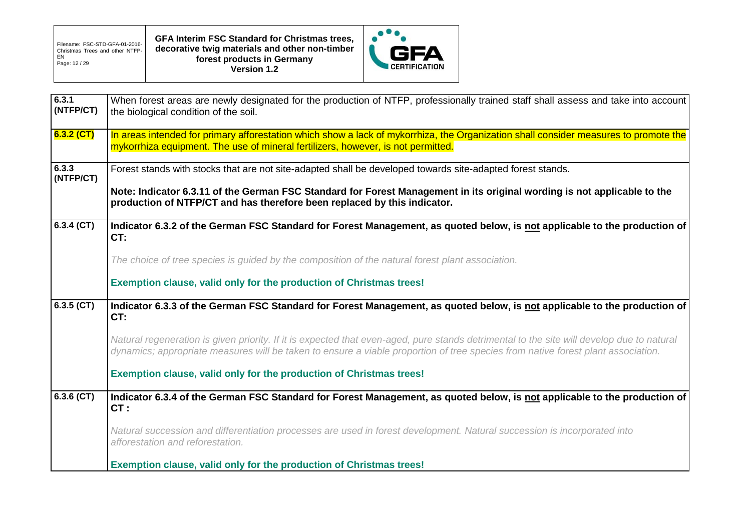| Filename: FSC-STD-GFA-01-2016-<br>Christmas Trees and other NTFP-<br>EN<br>Page: 12 / 29 | <b>GFA Interim FSC Standard for Christmas trees,</b><br>decorative twig materials and other non-timber<br>forest products in Germany<br><b>Version 1.2</b> |  |
|------------------------------------------------------------------------------------------|------------------------------------------------------------------------------------------------------------------------------------------------------------|--|
|------------------------------------------------------------------------------------------|------------------------------------------------------------------------------------------------------------------------------------------------------------|--|



| 6.3.1<br>(NTFP/CT) | When forest areas are newly designated for the production of NTFP, professionally trained staff shall assess and take into account<br>the biological condition of the soil.                                                                                                   |
|--------------------|-------------------------------------------------------------------------------------------------------------------------------------------------------------------------------------------------------------------------------------------------------------------------------|
| $6.3.2$ (CT)       | In areas intended for primary afforestation which show a lack of mykorrhiza, the Organization shall consider measures to promote the<br>mykorrhiza equipment. The use of mineral fertilizers, however, is not permitted.                                                      |
| 6.3.3<br>(NTFP/CT) | Forest stands with stocks that are not site-adapted shall be developed towards site-adapted forest stands.                                                                                                                                                                    |
|                    | Note: Indicator 6.3.11 of the German FSC Standard for Forest Management in its original wording is not applicable to the<br>production of NTFP/CT and has therefore been replaced by this indicator.                                                                          |
| $6.3.4$ (CT)       | Indicator 6.3.2 of the German FSC Standard for Forest Management, as quoted below, is not applicable to the production of<br>CT:                                                                                                                                              |
|                    | The choice of tree species is guided by the composition of the natural forest plant association.                                                                                                                                                                              |
|                    | Exemption clause, valid only for the production of Christmas trees!                                                                                                                                                                                                           |
| $6.3.5$ (CT)       | Indicator 6.3.3 of the German FSC Standard for Forest Management, as quoted below, is not applicable to the production of<br>CT:                                                                                                                                              |
|                    | Natural regeneration is given priority. If it is expected that even-aged, pure stands detrimental to the site will develop due to natural<br>dynamics; appropriate measures will be taken to ensure a viable proportion of tree species from native forest plant association. |
|                    | Exemption clause, valid only for the production of Christmas trees!                                                                                                                                                                                                           |
| $6.3.6$ (CT)       | Indicator 6.3.4 of the German FSC Standard for Forest Management, as quoted below, is not applicable to the production of<br>CT:                                                                                                                                              |
|                    | Natural succession and differentiation processes are used in forest development. Natural succession is incorporated into<br>afforestation and reforestation.                                                                                                                  |
|                    | Exemption clause, valid only for the production of Christmas trees!                                                                                                                                                                                                           |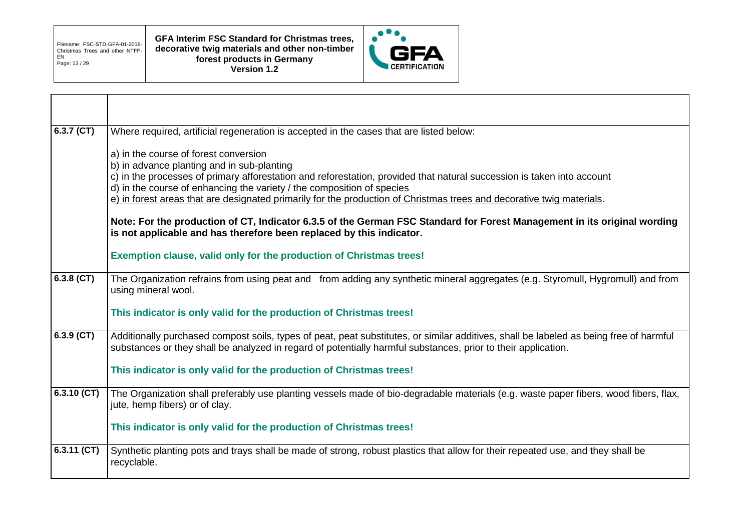Filename: FSC-STD-GFA-01-2016- Christmas Trees and other NTFP-EN Page: 13 / 29



| 6.3.7 (CT)    | Where required, artificial regeneration is accepted in the cases that are listed below:                                                                                                                                                                 |
|---------------|---------------------------------------------------------------------------------------------------------------------------------------------------------------------------------------------------------------------------------------------------------|
|               | a) in the course of forest conversion                                                                                                                                                                                                                   |
|               | b) in advance planting and in sub-planting<br>c) in the processes of primary afforestation and reforestation, provided that natural succession is taken into account                                                                                    |
|               | d) in the course of enhancing the variety / the composition of species<br>e) in forest areas that are designated primarily for the production of Christmas trees and decorative twig materials.                                                         |
|               |                                                                                                                                                                                                                                                         |
|               | Note: For the production of CT, Indicator 6.3.5 of the German FSC Standard for Forest Management in its original wording<br>is not applicable and has therefore been replaced by this indicator.                                                        |
|               | Exemption clause, valid only for the production of Christmas trees!                                                                                                                                                                                     |
| $6.3.8$ (CT)  | The Organization refrains from using peat and from adding any synthetic mineral aggregates (e.g. Styromull, Hygromull) and from<br>using mineral wool.                                                                                                  |
|               | This indicator is only valid for the production of Christmas trees!                                                                                                                                                                                     |
| $6.3.9$ (CT)  | Additionally purchased compost soils, types of peat, peat substitutes, or similar additives, shall be labeled as being free of harmful<br>substances or they shall be analyzed in regard of potentially harmful substances, prior to their application. |
|               | This indicator is only valid for the production of Christmas trees!                                                                                                                                                                                     |
| $6.3.10$ (CT) | The Organization shall preferably use planting vessels made of bio-degradable materials (e.g. waste paper fibers, wood fibers, flax,<br>jute, hemp fibers) or of clay.                                                                                  |
|               | This indicator is only valid for the production of Christmas trees!                                                                                                                                                                                     |
| $6.3.11$ (CT) | Synthetic planting pots and trays shall be made of strong, robust plastics that allow for their repeated use, and they shall be<br>recyclable.                                                                                                          |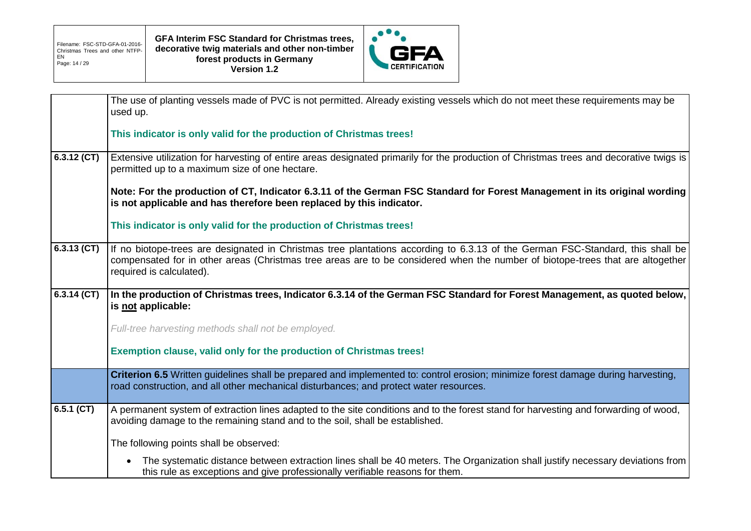T



|               | The use of planting vessels made of PVC is not permitted. Already existing vessels which do not meet these requirements may be<br>used up.                                                                                                                                                   |
|---------------|----------------------------------------------------------------------------------------------------------------------------------------------------------------------------------------------------------------------------------------------------------------------------------------------|
|               | This indicator is only valid for the production of Christmas trees!                                                                                                                                                                                                                          |
| $6.3.12$ (CT) | Extensive utilization for harvesting of entire areas designated primarily for the production of Christmas trees and decorative twigs is<br>permitted up to a maximum size of one hectare.                                                                                                    |
|               | Note: For the production of CT, Indicator 6.3.11 of the German FSC Standard for Forest Management in its original wording<br>is not applicable and has therefore been replaced by this indicator.                                                                                            |
|               | This indicator is only valid for the production of Christmas trees!                                                                                                                                                                                                                          |
| $6.3.13$ (CT) | If no biotope-trees are designated in Christmas tree plantations according to 6.3.13 of the German FSC-Standard, this shall be<br>compensated for in other areas (Christmas tree areas are to be considered when the number of biotope-trees that are altogether<br>required is calculated). |
| $6.3.14$ (CT) | In the production of Christmas trees, Indicator 6.3.14 of the German FSC Standard for Forest Management, as quoted below,<br>is not applicable:                                                                                                                                              |
|               | Full-tree harvesting methods shall not be employed.                                                                                                                                                                                                                                          |
|               | Exemption clause, valid only for the production of Christmas trees!                                                                                                                                                                                                                          |
|               | Criterion 6.5 Written guidelines shall be prepared and implemented to: control erosion; minimize forest damage during harvesting,<br>road construction, and all other mechanical disturbances; and protect water resources.                                                                  |
| $6.5.1$ (CT)  | A permanent system of extraction lines adapted to the site conditions and to the forest stand for harvesting and forwarding of wood,<br>avoiding damage to the remaining stand and to the soil, shall be established.                                                                        |
|               | The following points shall be observed:                                                                                                                                                                                                                                                      |
|               | The systematic distance between extraction lines shall be 40 meters. The Organization shall justify necessary deviations from<br>this rule as exceptions and give professionally verifiable reasons for them.                                                                                |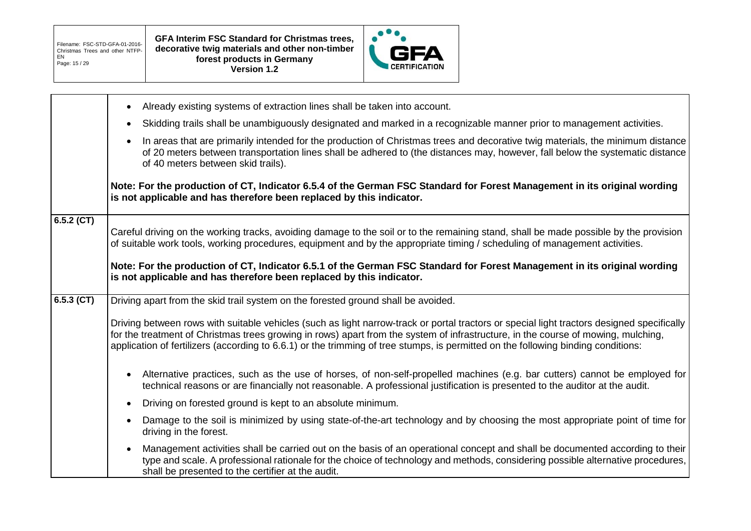| Filename: FSC-STD-GFA-01-2016-<br>Christmas Trees and other NTFP- |  |
|-------------------------------------------------------------------|--|
| FN                                                                |  |
| Page: 15 / 29                                                     |  |
|                                                                   |  |



|              | Already existing systems of extraction lines shall be taken into account.<br>$\bullet$                                                                                                                                                                                                                                                                                                                               |
|--------------|----------------------------------------------------------------------------------------------------------------------------------------------------------------------------------------------------------------------------------------------------------------------------------------------------------------------------------------------------------------------------------------------------------------------|
|              | Skidding trails shall be unambiguously designated and marked in a recognizable manner prior to management activities.<br>$\bullet$                                                                                                                                                                                                                                                                                   |
|              | In areas that are primarily intended for the production of Christmas trees and decorative twig materials, the minimum distance<br>of 20 meters between transportation lines shall be adhered to (the distances may, however, fall below the systematic distance<br>of 40 meters between skid trails).                                                                                                                |
|              | Note: For the production of CT, Indicator 6.5.4 of the German FSC Standard for Forest Management in its original wording<br>is not applicable and has therefore been replaced by this indicator.                                                                                                                                                                                                                     |
| $6.5.2$ (CT) | Careful driving on the working tracks, avoiding damage to the soil or to the remaining stand, shall be made possible by the provision<br>of suitable work tools, working procedures, equipment and by the appropriate timing / scheduling of management activities.                                                                                                                                                  |
|              | Note: For the production of CT, Indicator 6.5.1 of the German FSC Standard for Forest Management in its original wording<br>is not applicable and has therefore been replaced by this indicator.                                                                                                                                                                                                                     |
| $6.5.3$ (CT) | Driving apart from the skid trail system on the forested ground shall be avoided.                                                                                                                                                                                                                                                                                                                                    |
|              | Driving between rows with suitable vehicles (such as light narrow-track or portal tractors or special light tractors designed specifically<br>for the treatment of Christmas trees growing in rows) apart from the system of infrastructure, in the course of mowing, mulching,<br>application of fertilizers (according to 6.6.1) or the trimming of tree stumps, is permitted on the following binding conditions: |
|              | Alternative practices, such as the use of horses, of non-self-propelled machines (e.g. bar cutters) cannot be employed for<br>$\bullet$<br>technical reasons or are financially not reasonable. A professional justification is presented to the auditor at the audit.                                                                                                                                               |
|              | Driving on forested ground is kept to an absolute minimum.<br>$\bullet$                                                                                                                                                                                                                                                                                                                                              |
|              | Damage to the soil is minimized by using state-of-the-art technology and by choosing the most appropriate point of time for<br>$\bullet$<br>driving in the forest.                                                                                                                                                                                                                                                   |
|              | Management activities shall be carried out on the basis of an operational concept and shall be documented according to their<br>type and scale. A professional rationale for the choice of technology and methods, considering possible alternative procedures,<br>shall be presented to the certifier at the audit.                                                                                                 |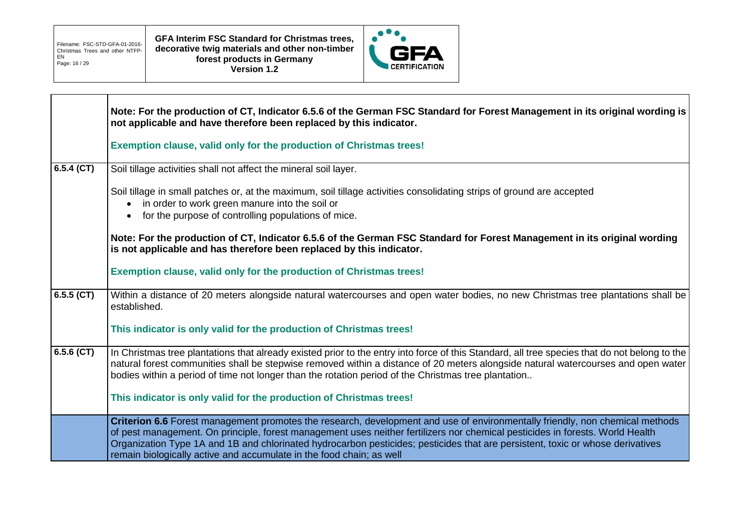Filename: FSC-STD-GFA-01-2016- Christmas Trees and other NTFP-EN Page: 16 / 29

Т



|              | Note: For the production of CT, Indicator 6.5.6 of the German FSC Standard for Forest Management in its original wording is<br>not applicable and have therefore been replaced by this indicator.                                                                                                                                                                                                                                                                       |
|--------------|-------------------------------------------------------------------------------------------------------------------------------------------------------------------------------------------------------------------------------------------------------------------------------------------------------------------------------------------------------------------------------------------------------------------------------------------------------------------------|
|              | Exemption clause, valid only for the production of Christmas trees!                                                                                                                                                                                                                                                                                                                                                                                                     |
| $6.5.4$ (CT) | Soil tillage activities shall not affect the mineral soil layer.                                                                                                                                                                                                                                                                                                                                                                                                        |
|              | Soil tillage in small patches or, at the maximum, soil tillage activities consolidating strips of ground are accepted<br>in order to work green manure into the soil or<br>for the purpose of controlling populations of mice.<br>$\bullet$                                                                                                                                                                                                                             |
|              | Note: For the production of CT, Indicator 6.5.6 of the German FSC Standard for Forest Management in its original wording<br>is not applicable and has therefore been replaced by this indicator.                                                                                                                                                                                                                                                                        |
|              | Exemption clause, valid only for the production of Christmas trees!                                                                                                                                                                                                                                                                                                                                                                                                     |
| $6.5.5$ (CT) | Within a distance of 20 meters alongside natural watercourses and open water bodies, no new Christmas tree plantations shall be<br>established.                                                                                                                                                                                                                                                                                                                         |
|              | This indicator is only valid for the production of Christmas trees!                                                                                                                                                                                                                                                                                                                                                                                                     |
| $6.5.6$ (CT) | In Christmas tree plantations that already existed prior to the entry into force of this Standard, all tree species that do not belong to the<br>natural forest communities shall be stepwise removed within a distance of 20 meters alongside natural watercourses and open water<br>bodies within a period of time not longer than the rotation period of the Christmas tree plantation                                                                               |
|              | This indicator is only valid for the production of Christmas trees!                                                                                                                                                                                                                                                                                                                                                                                                     |
|              | Criterion 6.6 Forest management promotes the research, development and use of environmentally friendly, non chemical methods<br>of pest management. On principle, forest management uses neither fertilizers nor chemical pesticides in forests. World Health<br>Organization Type 1A and 1B and chlorinated hydrocarbon pesticides; pesticides that are persistent, toxic or whose derivatives<br>remain biologically active and accumulate in the food chain; as well |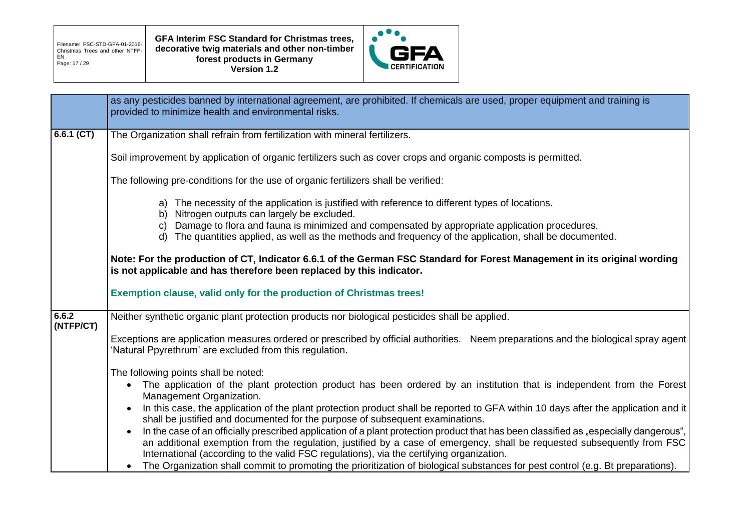| Filename: FSC-STD-GFA-01-2016-  | <b>GFA Interim FSC Standard for Christmas trees,</b> |
|---------------------------------|------------------------------------------------------|
| Christmas Trees and other NTFP- | decorative twig materials and other non-timber       |
| EN                              | forest products in Germany                           |
| Page: 17 / 29                   | <b>Version 1.2</b>                                   |



|                    | as any pesticides banned by international agreement, are prohibited. If chemicals are used, proper equipment and training is<br>provided to minimize health and environmental risks.                                                                                                                                                                         |  |
|--------------------|--------------------------------------------------------------------------------------------------------------------------------------------------------------------------------------------------------------------------------------------------------------------------------------------------------------------------------------------------------------|--|
| $6.6.1$ (CT)       | The Organization shall refrain from fertilization with mineral fertilizers.                                                                                                                                                                                                                                                                                  |  |
|                    | Soil improvement by application of organic fertilizers such as cover crops and organic composts is permitted.                                                                                                                                                                                                                                                |  |
|                    | The following pre-conditions for the use of organic fertilizers shall be verified:                                                                                                                                                                                                                                                                           |  |
|                    | a) The necessity of the application is justified with reference to different types of locations.<br>b) Nitrogen outputs can largely be excluded.                                                                                                                                                                                                             |  |
|                    | c) Damage to flora and fauna is minimized and compensated by appropriate application procedures.<br>d) The quantities applied, as well as the methods and frequency of the application, shall be documented.                                                                                                                                                 |  |
|                    | Note: For the production of CT, Indicator 6.6.1 of the German FSC Standard for Forest Management in its original wording<br>is not applicable and has therefore been replaced by this indicator.                                                                                                                                                             |  |
|                    | Exemption clause, valid only for the production of Christmas trees!                                                                                                                                                                                                                                                                                          |  |
| 6.6.2<br>(NTFP/CT) | Neither synthetic organic plant protection products nor biological pesticides shall be applied.                                                                                                                                                                                                                                                              |  |
|                    | Exceptions are application measures ordered or prescribed by official authorities. Neem preparations and the biological spray agent<br>'Natural Ppyrethrum' are excluded from this regulation.                                                                                                                                                               |  |
|                    | The following points shall be noted:<br>The application of the plant protection product has been ordered by an institution that is independent from the Forest<br>Management Organization.                                                                                                                                                                   |  |
|                    | In this case, the application of the plant protection product shall be reported to GFA within 10 days after the application and it<br>shall be justified and documented for the purpose of subsequent examinations.                                                                                                                                          |  |
|                    | In the case of an officially prescribed application of a plant protection product that has been classified as "especially dangerous",<br>an additional exemption from the regulation, justified by a case of emergency, shall be requested subsequently from FSC<br>International (according to the valid FSC regulations), via the certifying organization. |  |
|                    | The Organization shall commit to promoting the prioritization of biological substances for pest control (e.g. Bt preparations).                                                                                                                                                                                                                              |  |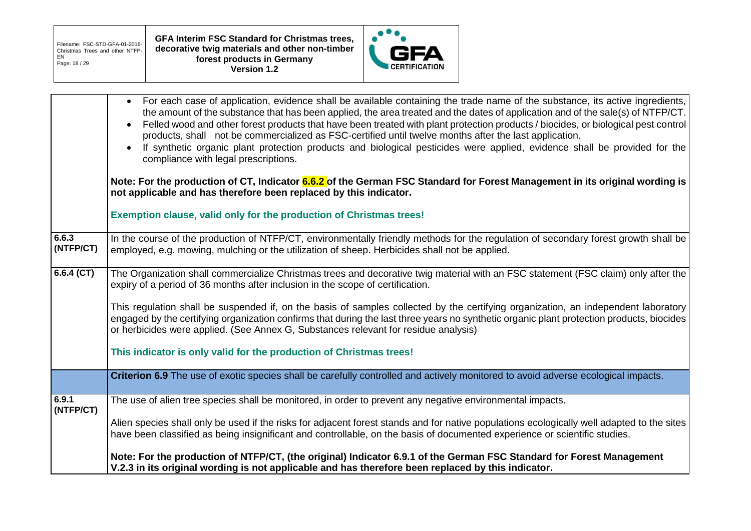| Filename: FSC-STD-GFA-01-2016-  | <b>GFA Interim FSC Standard for Christmas trees,</b> |
|---------------------------------|------------------------------------------------------|
| Christmas Trees and other NTFP- | decorative twig materials and other non-timber       |
| EN                              | forest products in Germany                           |
| Page: 18 / 29                   | <b>Version 1.2</b>                                   |

┱



|                    | • For each case of application, evidence shall be available containing the trade name of the substance, its active ingredients,<br>the amount of the substance that has been applied, the area treated and the dates of application and of the sale(s) of NTFP/CT.<br>Felled wood and other forest products that have been treated with plant protection products / biocides, or biological pest control<br>products, shall not be commercialized as FSC-certified until twelve months after the last application.<br>If synthetic organic plant protection products and biological pesticides were applied, evidence shall be provided for the<br>compliance with legal prescriptions. |
|--------------------|-----------------------------------------------------------------------------------------------------------------------------------------------------------------------------------------------------------------------------------------------------------------------------------------------------------------------------------------------------------------------------------------------------------------------------------------------------------------------------------------------------------------------------------------------------------------------------------------------------------------------------------------------------------------------------------------|
|                    | Note: For the production of CT, Indicator 6.6.2 of the German FSC Standard for Forest Management in its original wording is<br>not applicable and has therefore been replaced by this indicator.                                                                                                                                                                                                                                                                                                                                                                                                                                                                                        |
|                    | Exemption clause, valid only for the production of Christmas trees!                                                                                                                                                                                                                                                                                                                                                                                                                                                                                                                                                                                                                     |
| 6.6.3<br>(NTFP/CT) | In the course of the production of NTFP/CT, environmentally friendly methods for the regulation of secondary forest growth shall be<br>employed, e.g. mowing, mulching or the utilization of sheep. Herbicides shall not be applied.                                                                                                                                                                                                                                                                                                                                                                                                                                                    |
| 6.6.4 (CT)         | The Organization shall commercialize Christmas trees and decorative twig material with an FSC statement (FSC claim) only after the<br>expiry of a period of 36 months after inclusion in the scope of certification.                                                                                                                                                                                                                                                                                                                                                                                                                                                                    |
|                    | This regulation shall be suspended if, on the basis of samples collected by the certifying organization, an independent laboratory<br>engaged by the certifying organization confirms that during the last three years no synthetic organic plant protection products, biocides<br>or herbicides were applied. (See Annex G, Substances relevant for residue analysis)                                                                                                                                                                                                                                                                                                                  |
|                    | This indicator is only valid for the production of Christmas trees!                                                                                                                                                                                                                                                                                                                                                                                                                                                                                                                                                                                                                     |
|                    | Criterion 6.9 The use of exotic species shall be carefully controlled and actively monitored to avoid adverse ecological impacts.                                                                                                                                                                                                                                                                                                                                                                                                                                                                                                                                                       |
| 6.9.1<br>(NTFP/CT) | The use of alien tree species shall be monitored, in order to prevent any negative environmental impacts.                                                                                                                                                                                                                                                                                                                                                                                                                                                                                                                                                                               |
|                    | Alien species shall only be used if the risks for adjacent forest stands and for native populations ecologically well adapted to the sites<br>have been classified as being insignificant and controllable, on the basis of documented experience or scientific studies.                                                                                                                                                                                                                                                                                                                                                                                                                |
|                    | Note: For the production of NTFP/CT, (the original) Indicator 6.9.1 of the German FSC Standard for Forest Management<br>V.2.3 in its original wording is not applicable and has therefore been replaced by this indicator.                                                                                                                                                                                                                                                                                                                                                                                                                                                              |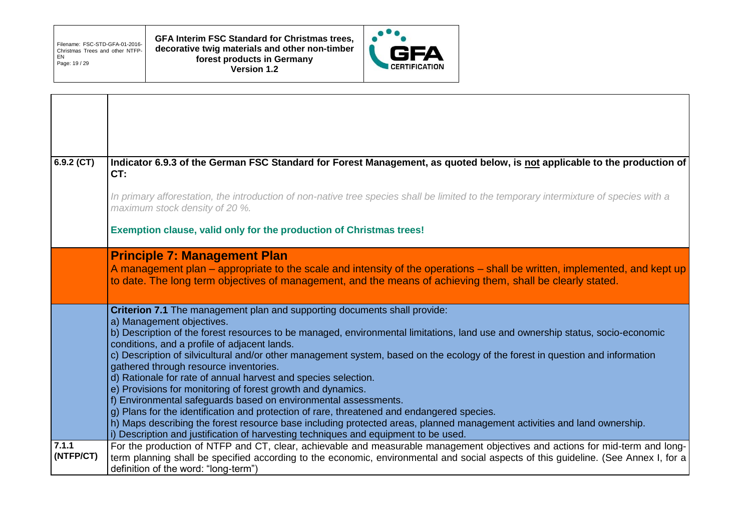Filename: FSC-STD-GFA-01-2016- Christmas Trees and other NTFP-EN Page: 19 / 29

**GFA Interim FSC Standard for Christmas trees, decorative twig materials and other non-timber forest products in Germany Version 1.2**



| $6.9.2$ (CT)       | Indicator 6.9.3 of the German FSC Standard for Forest Management, as quoted below, is not applicable to the production of<br>CT:                                                                                                                                                                                                                                                                                                                                                                                                                                                                                                                                                                                                                                                                                                                                                                   |
|--------------------|----------------------------------------------------------------------------------------------------------------------------------------------------------------------------------------------------------------------------------------------------------------------------------------------------------------------------------------------------------------------------------------------------------------------------------------------------------------------------------------------------------------------------------------------------------------------------------------------------------------------------------------------------------------------------------------------------------------------------------------------------------------------------------------------------------------------------------------------------------------------------------------------------|
|                    | In primary afforestation, the introduction of non-native tree species shall be limited to the temporary intermixture of species with a<br>maximum stock density of 20 %.                                                                                                                                                                                                                                                                                                                                                                                                                                                                                                                                                                                                                                                                                                                           |
|                    | Exemption clause, valid only for the production of Christmas trees!                                                                                                                                                                                                                                                                                                                                                                                                                                                                                                                                                                                                                                                                                                                                                                                                                                |
|                    | <b>Principle 7: Management Plan</b><br>A management plan – appropriate to the scale and intensity of the operations – shall be written, implemented, and kept up<br>to date. The long term objectives of management, and the means of achieving them, shall be clearly stated.                                                                                                                                                                                                                                                                                                                                                                                                                                                                                                                                                                                                                     |
|                    | Criterion 7.1 The management plan and supporting documents shall provide:<br>a) Management objectives.<br>b) Description of the forest resources to be managed, environmental limitations, land use and ownership status, socio-economic<br>conditions, and a profile of adjacent lands.<br>c) Description of silvicultural and/or other management system, based on the ecology of the forest in question and information<br>gathered through resource inventories.<br>d) Rationale for rate of annual harvest and species selection.<br>e) Provisions for monitoring of forest growth and dynamics.<br>f) Environmental safeguards based on environmental assessments.<br>g) Plans for the identification and protection of rare, threatened and endangered species.<br>h) Maps describing the forest resource base including protected areas, planned management activities and land ownership. |
|                    | i) Description and justification of harvesting techniques and equipment to be used.                                                                                                                                                                                                                                                                                                                                                                                                                                                                                                                                                                                                                                                                                                                                                                                                                |
| 7.1.1<br>(NTFP/CT) | For the production of NTFP and CT, clear, achievable and measurable management objectives and actions for mid-term and long-<br>term planning shall be specified according to the economic, environmental and social aspects of this guideline. (See Annex I, for a<br>definition of the word: "long-term")                                                                                                                                                                                                                                                                                                                                                                                                                                                                                                                                                                                        |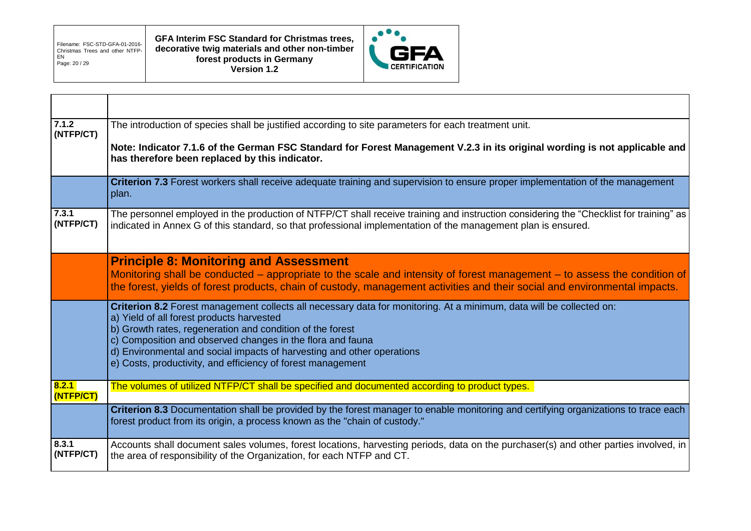Filename: FSC-STD-GFA-01-2016- Christmas Trees and other NTFP-EN Page: 20 / 29

┯

 $\mathsf{r}$ 

**GFA Interim FSC Standard for Christmas trees, decorative twig materials and other non-timber forest products in Germany Version 1.2**



┑

| 7.1.2<br>(NTFP/CT) | The introduction of species shall be justified according to site parameters for each treatment unit.                                                                                                                                                                                                                                                                                                                                  |  |  |
|--------------------|---------------------------------------------------------------------------------------------------------------------------------------------------------------------------------------------------------------------------------------------------------------------------------------------------------------------------------------------------------------------------------------------------------------------------------------|--|--|
|                    | Note: Indicator 7.1.6 of the German FSC Standard for Forest Management V.2.3 in its original wording is not applicable and<br>has therefore been replaced by this indicator.                                                                                                                                                                                                                                                          |  |  |
|                    | Criterion 7.3 Forest workers shall receive adequate training and supervision to ensure proper implementation of the management<br>plan.                                                                                                                                                                                                                                                                                               |  |  |
| 7.3.1<br>(NTFP/CT) | The personnel employed in the production of NTFP/CT shall receive training and instruction considering the "Checklist for training" as<br>indicated in Annex G of this standard, so that professional implementation of the management plan is ensured.                                                                                                                                                                               |  |  |
|                    | <b>Principle 8: Monitoring and Assessment</b><br>Monitoring shall be conducted – appropriate to the scale and intensity of forest management – to assess the condition of<br>the forest, yields of forest products, chain of custody, management activities and their social and environmental impacts.                                                                                                                               |  |  |
|                    | Criterion 8.2 Forest management collects all necessary data for monitoring. At a minimum, data will be collected on:<br>a) Yield of all forest products harvested<br>b) Growth rates, regeneration and condition of the forest<br>c) Composition and observed changes in the flora and fauna<br>d) Environmental and social impacts of harvesting and other operations<br>e) Costs, productivity, and efficiency of forest management |  |  |
| 8.2.1<br>(NTFP/CT) | The volumes of utilized NTFP/CT shall be specified and documented according to product types.                                                                                                                                                                                                                                                                                                                                         |  |  |
|                    | Criterion 8.3 Documentation shall be provided by the forest manager to enable monitoring and certifying organizations to trace each<br>forest product from its origin, a process known as the "chain of custody."                                                                                                                                                                                                                     |  |  |
| 8.3.1<br>(NTFP/CT) | Accounts shall document sales volumes, forest locations, harvesting periods, data on the purchaser(s) and other parties involved, in<br>the area of responsibility of the Organization, for each NTFP and CT.                                                                                                                                                                                                                         |  |  |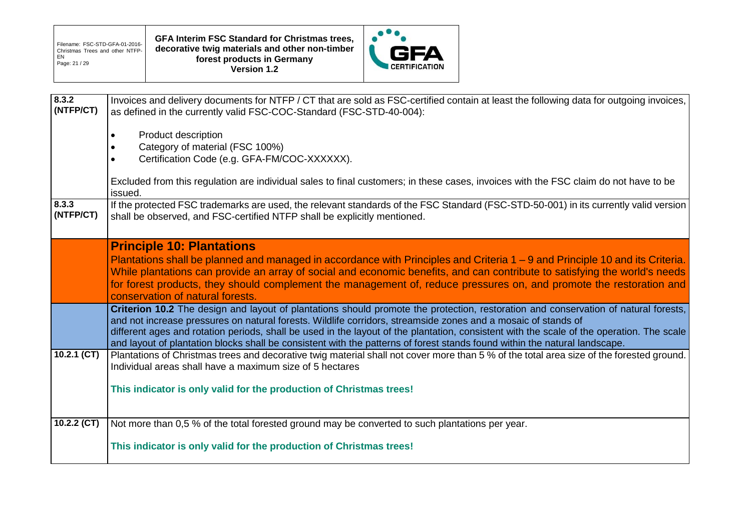

| 8.3.2<br>(NTFP/CT) | Invoices and delivery documents for NTFP / CT that are sold as FSC-certified contain at least the following data for outgoing invoices,<br>as defined in the currently valid FSC-COC-Standard (FSC-STD-40-004):                                            |  |  |  |
|--------------------|------------------------------------------------------------------------------------------------------------------------------------------------------------------------------------------------------------------------------------------------------------|--|--|--|
|                    |                                                                                                                                                                                                                                                            |  |  |  |
|                    | Product description<br>$\bullet$<br>Category of material (FSC 100%)                                                                                                                                                                                        |  |  |  |
|                    | Certification Code (e.g. GFA-FM/COC-XXXXXX).<br>$\bullet$                                                                                                                                                                                                  |  |  |  |
|                    |                                                                                                                                                                                                                                                            |  |  |  |
|                    | Excluded from this regulation are individual sales to final customers; in these cases, invoices with the FSC claim do not have to be<br>issued.                                                                                                            |  |  |  |
| 8.3.3<br>(NTFP/CT) | If the protected FSC trademarks are used, the relevant standards of the FSC Standard (FSC-STD-50-001) in its currently valid version<br>shall be observed, and FSC-certified NTFP shall be explicitly mentioned.                                           |  |  |  |
|                    | <b>Principle 10: Plantations</b>                                                                                                                                                                                                                           |  |  |  |
|                    | Plantations shall be planned and managed in accordance with Principles and Criteria 1 – 9 and Principle 10 and its Criteria.                                                                                                                               |  |  |  |
|                    | While plantations can provide an array of social and economic benefits, and can contribute to satisfying the world's needs                                                                                                                                 |  |  |  |
|                    | for forest products, they should complement the management of, reduce pressures on, and promote the restoration and<br>conservation of natural forests.                                                                                                    |  |  |  |
|                    | Criterion 10.2 The design and layout of plantations should promote the protection, restoration and conservation of natural forests,                                                                                                                        |  |  |  |
|                    | and not increase pressures on natural forests. Wildlife corridors, streamside zones and a mosaic of stands of<br>different ages and rotation periods, shall be used in the layout of the plantation, consistent with the scale of the operation. The scale |  |  |  |
|                    | and layout of plantation blocks shall be consistent with the patterns of forest stands found within the natural landscape.                                                                                                                                 |  |  |  |
| 10.2.1 (CT)        | Plantations of Christmas trees and decorative twig material shall not cover more than 5 % of the total area size of the forested ground.<br>Individual areas shall have a maximum size of 5 hectares                                                       |  |  |  |
|                    | This indicator is only valid for the production of Christmas trees!                                                                                                                                                                                        |  |  |  |
|                    |                                                                                                                                                                                                                                                            |  |  |  |
| $10.2.2$ (CT)      | Not more than 0,5 % of the total forested ground may be converted to such plantations per year.                                                                                                                                                            |  |  |  |
|                    | This indicator is only valid for the production of Christmas trees!                                                                                                                                                                                        |  |  |  |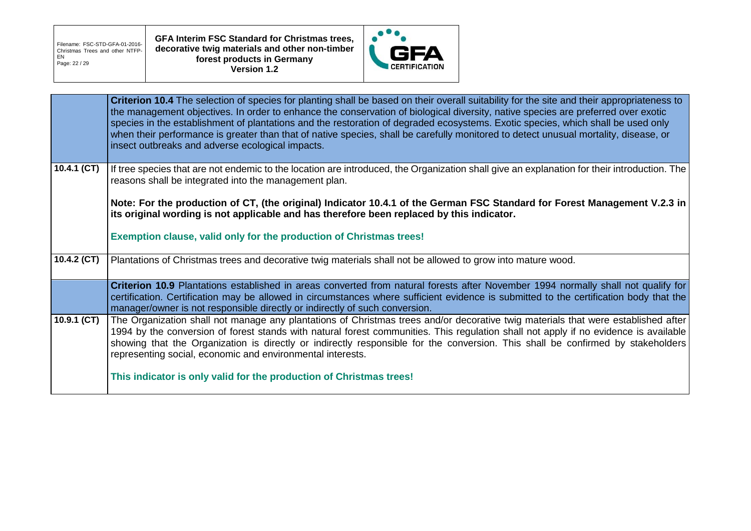| Filename: FSC-STD-GFA-01-2016-<br>Christmas Trees and other NTFP-<br>Page: 22 / 29 | de( |
|------------------------------------------------------------------------------------|-----|
|                                                                                    |     |

T



|               | Criterion 10.4 The selection of species for planting shall be based on their overall suitability for the site and their appropriateness to<br>the management objectives. In order to enhance the conservation of biological diversity, native species are preferred over exotic<br>species in the establishment of plantations and the restoration of degraded ecosystems. Exotic species, which shall be used only<br>when their performance is greater than that of native species, shall be carefully monitored to detect unusual mortality, disease, or<br>insect outbreaks and adverse ecological impacts. |  |  |  |
|---------------|-----------------------------------------------------------------------------------------------------------------------------------------------------------------------------------------------------------------------------------------------------------------------------------------------------------------------------------------------------------------------------------------------------------------------------------------------------------------------------------------------------------------------------------------------------------------------------------------------------------------|--|--|--|
| 10.4.1 (CT)   | If tree species that are not endemic to the location are introduced, the Organization shall give an explanation for their introduction. The<br>reasons shall be integrated into the management plan.                                                                                                                                                                                                                                                                                                                                                                                                            |  |  |  |
|               | Note: For the production of CT, (the original) Indicator 10.4.1 of the German FSC Standard for Forest Management V.2.3 in<br>its original wording is not applicable and has therefore been replaced by this indicator.                                                                                                                                                                                                                                                                                                                                                                                          |  |  |  |
|               | Exemption clause, valid only for the production of Christmas trees!                                                                                                                                                                                                                                                                                                                                                                                                                                                                                                                                             |  |  |  |
| 10.4.2 (CT)   | Plantations of Christmas trees and decorative twig materials shall not be allowed to grow into mature wood.                                                                                                                                                                                                                                                                                                                                                                                                                                                                                                     |  |  |  |
|               | Criterion 10.9 Plantations established in areas converted from natural forests after November 1994 normally shall not qualify for<br>certification. Certification may be allowed in circumstances where sufficient evidence is submitted to the certification body that the<br>manager/owner is not responsible directly or indirectly of such conversion.                                                                                                                                                                                                                                                      |  |  |  |
| $10.9.1$ (CT) | The Organization shall not manage any plantations of Christmas trees and/or decorative twig materials that were established after<br>1994 by the conversion of forest stands with natural forest communities. This regulation shall not apply if no evidence is available<br>showing that the Organization is directly or indirectly responsible for the conversion. This shall be confirmed by stakeholders<br>representing social, economic and environmental interests.                                                                                                                                      |  |  |  |
|               | This indicator is only valid for the production of Christmas trees!                                                                                                                                                                                                                                                                                                                                                                                                                                                                                                                                             |  |  |  |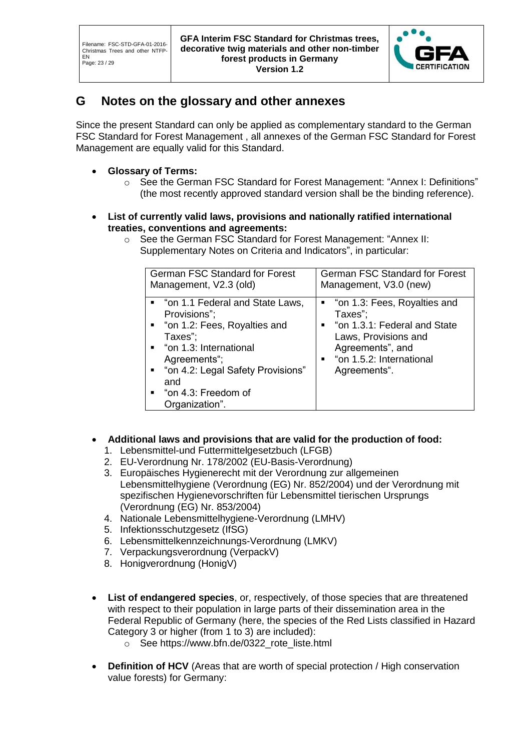

### **G Notes on the glossary and other annexes**

Since the present Standard can only be applied as complementary standard to the German FSC Standard for Forest Management , all annexes of the German FSC Standard for Forest Management are equally valid for this Standard.

### **Glossary of Terms:**

- o See the German FSC Standard for Forest Management: "Annex I: Definitions" (the most recently approved standard version shall be the binding reference).
- **List of currently valid laws, provisions and nationally ratified international treaties, conventions and agreements:** 
	- o See the German FSC Standard for Forest Management: "Annex II: Supplementary Notes on Criteria and Indicators", in particular:

| <b>German FSC Standard for Forest</b>                                                                                                                                                                                         | <b>German FSC Standard for Forest</b>                                                                                                                                 |
|-------------------------------------------------------------------------------------------------------------------------------------------------------------------------------------------------------------------------------|-----------------------------------------------------------------------------------------------------------------------------------------------------------------------|
| Management, V2.3 (old)                                                                                                                                                                                                        | Management, V3.0 (new)                                                                                                                                                |
| • "on 1.1 Federal and State Laws,<br>Provisions";<br>"on 1.2: Fees, Royalties and<br>Taxes";<br>■ "on 1.3: International<br>Agreements";<br>"on 4.2: Legal Safety Provisions"<br>and<br>"on 4.3: Freedom of<br>Organization". | • "on 1.3: Fees, Royalties and<br>Taxes";<br>• "on 1.3.1: Federal and State<br>Laws, Provisions and<br>Agreements", and<br>• "on 1.5.2: International<br>Agreements". |

### **Additional laws and provisions that are valid for the production of food:**

- 1. Lebensmittel-und Futtermittelgesetzbuch (LFGB)
- 2. EU-Verordnung Nr. 178/2002 (EU-Basis-Verordnung)
- 3. Europäisches Hygienerecht mit der Verordnung zur allgemeinen Lebensmittelhygiene (Verordnung (EG) Nr. 852/2004) und der Verordnung mit spezifischen Hygienevorschriften für Lebensmittel tierischen Ursprungs (Verordnung (EG) Nr. 853/2004)
- 4. Nationale Lebensmittelhygiene-Verordnung (LMHV)
- 5. Infektionsschutzgesetz (IfSG)
- 6. Lebensmittelkennzeichnungs-Verordnung (LMKV)
- 7. Verpackungsverordnung (VerpackV)
- 8. Honigverordnung (HonigV)
- **List of endangered species**, or, respectively, of those species that are threatened with respect to their population in large parts of their dissemination area in the Federal Republic of Germany (here, the species of the Red Lists classified in Hazard Category 3 or higher (from 1 to 3) are included):
	- o See https://www.bfn.de/0322\_rote\_liste.html
- **Definition of HCV** (Areas that are worth of special protection / High conservation value forests) for Germany: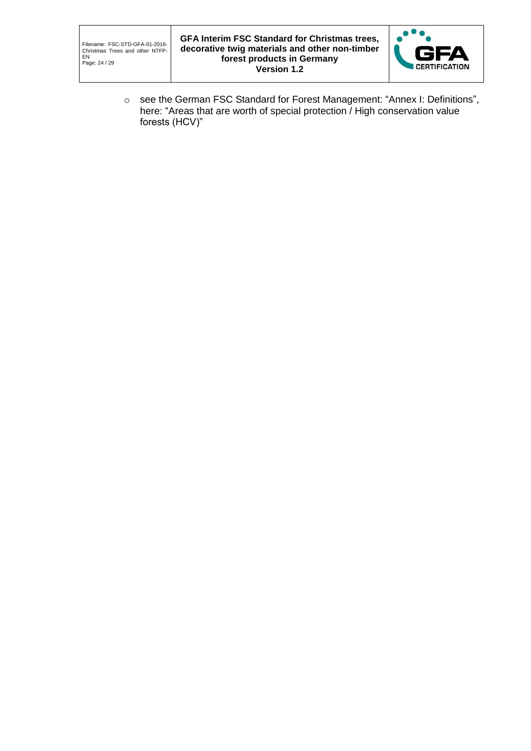

o see the German FSC Standard for Forest Management: "Annex I: Definitions", here: "Areas that are worth of special protection / High conservation value forests (HCV)"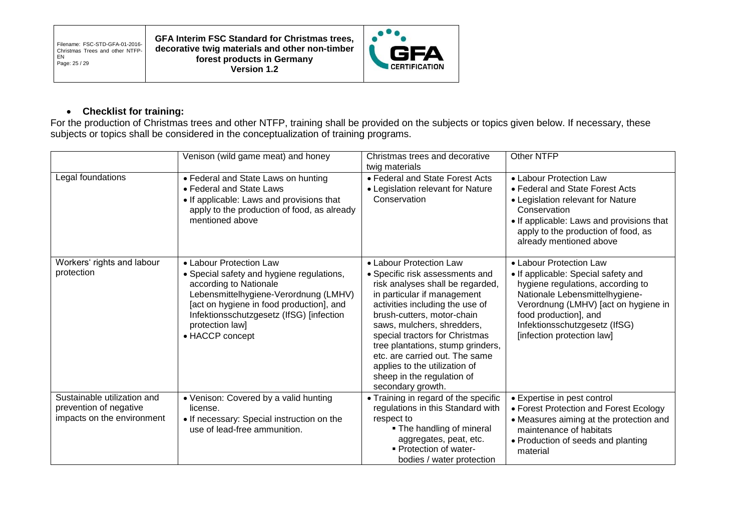Filename: FSC-STD-GFA-01-2016- Christmas Trees and other NTFP-EN Page: 25 / 29

**GFA Interim FSC Standard for Christmas trees, decorative twig materials and other non-timber forest products in Germany Version 1.2**



### **Checklist for training:**

For the production of Christmas trees and other NTFP, training shall be provided on the subjects or topics given below. If necessary, these subjects or topics shall be considered in the conceptualization of training programs.

|                                                                                     | Venison (wild game meat) and honey                                                                                                                                                                                                                                    | Christmas trees and decorative<br>twig materials                                                                                                                                                                                                                                                                                                                                                                          | Other NTFP                                                                                                                                                                                                                                                            |
|-------------------------------------------------------------------------------------|-----------------------------------------------------------------------------------------------------------------------------------------------------------------------------------------------------------------------------------------------------------------------|---------------------------------------------------------------------------------------------------------------------------------------------------------------------------------------------------------------------------------------------------------------------------------------------------------------------------------------------------------------------------------------------------------------------------|-----------------------------------------------------------------------------------------------------------------------------------------------------------------------------------------------------------------------------------------------------------------------|
| Legal foundations                                                                   | • Federal and State Laws on hunting<br>• Federal and State Laws<br>• If applicable: Laws and provisions that<br>apply to the production of food, as already<br>mentioned above                                                                                        | • Federal and State Forest Acts<br>• Legislation relevant for Nature<br>Conservation                                                                                                                                                                                                                                                                                                                                      | • Labour Protection Law<br>• Federal and State Forest Acts<br>• Legislation relevant for Nature<br>Conservation<br>• If applicable: Laws and provisions that<br>apply to the production of food, as<br>already mentioned above                                        |
| Workers' rights and labour<br>protection                                            | • Labour Protection Law<br>• Special safety and hygiene regulations,<br>according to Nationale<br>Lebensmittelhygiene-Verordnung (LMHV)<br>[act on hygiene in food production], and<br>Infektionsschutzgesetz (IfSG) [infection<br>protection law]<br>• HACCP concept | • Labour Protection Law<br>• Specific risk assessments and<br>risk analyses shall be regarded,<br>in particular if management<br>activities including the use of<br>brush-cutters, motor-chain<br>saws, mulchers, shredders,<br>special tractors for Christmas<br>tree plantations, stump grinders,<br>etc. are carried out. The same<br>applies to the utilization of<br>sheep in the regulation of<br>secondary growth. | • Labour Protection Law<br>• If applicable: Special safety and<br>hygiene regulations, according to<br>Nationale Lebensmittelhygiene-<br>Verordnung (LMHV) [act on hygiene in<br>food production], and<br>Infektionsschutzgesetz (IfSG)<br>[infection protection law] |
| Sustainable utilization and<br>prevention of negative<br>impacts on the environment | • Venison: Covered by a valid hunting<br>license.<br>• If necessary: Special instruction on the<br>use of lead-free ammunition.                                                                                                                                       | • Training in regard of the specific<br>regulations in this Standard with<br>respect to<br>. The handling of mineral<br>aggregates, peat, etc.<br>- Protection of water-<br>bodies / water protection                                                                                                                                                                                                                     | • Expertise in pest control<br>• Forest Protection and Forest Ecology<br>• Measures aiming at the protection and<br>maintenance of habitats<br>• Production of seeds and planting<br>material                                                                         |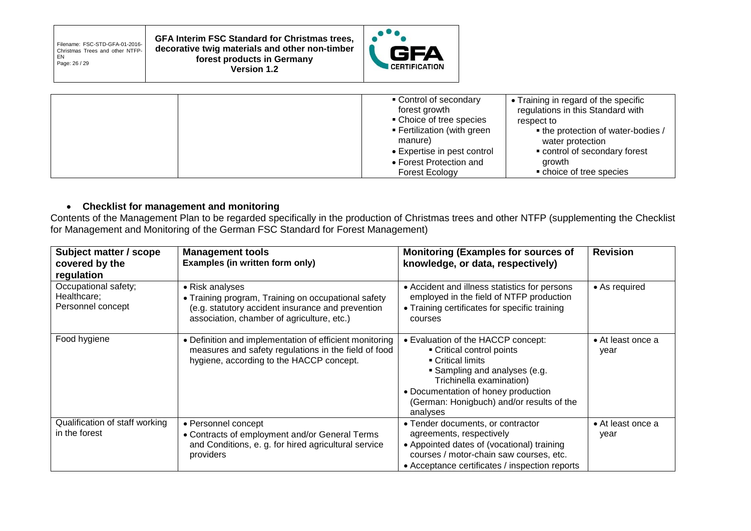| • Control of secondary<br>forest growth<br>• Choice of tree species<br>■ Fertilization (with green<br>manure)<br>• Expertise in pest control | • Training in regard of the specific<br>regulations in this Standard with<br>respect to<br>• the protection of water-bodies /<br>water protection<br>• control of secondary forest |
|----------------------------------------------------------------------------------------------------------------------------------------------|------------------------------------------------------------------------------------------------------------------------------------------------------------------------------------|
| • Forest Protection and                                                                                                                      | arowth                                                                                                                                                                             |
| Forest Ecology                                                                                                                               | • choice of tree species                                                                                                                                                           |

#### **Checklist for management and monitoring**

Contents of the Management Plan to be regarded specifically in the production of Christmas trees and other NTFP (supplementing the Checklist for Management and Monitoring of the German FSC Standard for Forest Management)

| Subject matter / scope<br>covered by the<br>regulation   | <b>Management tools</b><br>Examples (in written form only)                                                                                                                | <b>Monitoring (Examples for sources of</b><br>knowledge, or data, respectively)                                                                                                                                                                   | <b>Revision</b>                   |
|----------------------------------------------------------|---------------------------------------------------------------------------------------------------------------------------------------------------------------------------|---------------------------------------------------------------------------------------------------------------------------------------------------------------------------------------------------------------------------------------------------|-----------------------------------|
| Occupational safety;<br>Healthcare;<br>Personnel concept | • Risk analyses<br>• Training program, Training on occupational safety<br>(e.g. statutory accident insurance and prevention<br>association, chamber of agriculture, etc.) | • Accident and illness statistics for persons<br>employed in the field of NTFP production<br>• Training certificates for specific training<br>courses                                                                                             | • As required                     |
| Food hygiene                                             | • Definition and implementation of efficient monitoring<br>measures and safety regulations in the field of food<br>hygiene, according to the HACCP concept.               | • Evaluation of the HACCP concept:<br>• Critical control points<br>• Critical limits<br>• Sampling and analyses (e.g.<br>Trichinella examination)<br>• Documentation of honey production<br>(German: Honigbuch) and/or results of the<br>analyses | $\bullet$ At least once a<br>year |
| Qualification of staff working<br>in the forest          | • Personnel concept<br>• Contracts of employment and/or General Terms<br>and Conditions, e. g. for hired agricultural service<br>providers                                | • Tender documents, or contractor<br>agreements, respectively<br>• Appointed dates of (vocational) training<br>courses / motor-chain saw courses, etc.<br>• Acceptance certificates / inspection reports                                          | • At least once a<br>year         |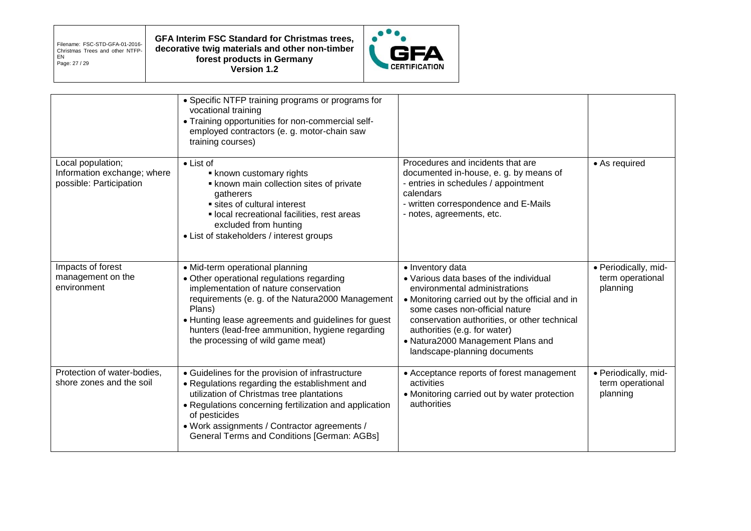| Filename: FSC-STD-GFA-01-2016-<br>Christmas Trees and other NTFP-<br>Page: 27 / 29 |
|------------------------------------------------------------------------------------|
|                                                                                    |

┑



|                                                                             | • Specific NTFP training programs or programs for<br>vocational training<br>• Training opportunities for non-commercial self-<br>employed contractors (e. g. motor-chain saw<br>training courses)                                                                                                                                   |                                                                                                                                                                                                                                                                                                                                       |                                                      |
|-----------------------------------------------------------------------------|-------------------------------------------------------------------------------------------------------------------------------------------------------------------------------------------------------------------------------------------------------------------------------------------------------------------------------------|---------------------------------------------------------------------------------------------------------------------------------------------------------------------------------------------------------------------------------------------------------------------------------------------------------------------------------------|------------------------------------------------------|
| Local population;<br>Information exchange; where<br>possible: Participation | • List of<br>• known customary rights<br>• known main collection sites of private<br><b>gatherers</b><br>sites of cultural interest<br>· local recreational facilities, rest areas<br>excluded from hunting<br>• List of stakeholders / interest groups                                                                             | Procedures and incidents that are<br>documented in-house, e. g. by means of<br>- entries in schedules / appointment<br>calendars<br>- written correspondence and E-Mails<br>- notes, agreements, etc.                                                                                                                                 | • As required                                        |
| Impacts of forest<br>management on the<br>environment                       | · Mid-term operational planning<br>• Other operational regulations regarding<br>implementation of nature conservation<br>requirements (e. g. of the Natura2000 Management<br>Plans)<br>• Hunting lease agreements and guidelines for guest<br>hunters (lead-free ammunition, hygiene regarding<br>the processing of wild game meat) | • Inventory data<br>• Various data bases of the individual<br>environmental administrations<br>• Monitoring carried out by the official and in<br>some cases non-official nature<br>conservation authorities, or other technical<br>authorities (e.g. for water)<br>• Natura2000 Management Plans and<br>landscape-planning documents | · Periodically, mid-<br>term operational<br>planning |
| Protection of water-bodies,<br>shore zones and the soil                     | • Guidelines for the provision of infrastructure<br>• Regulations regarding the establishment and<br>utilization of Christmas tree plantations<br>• Regulations concerning fertilization and application<br>of pesticides<br>• Work assignments / Contractor agreements /<br>General Terms and Conditions [German: AGBs]            | • Acceptance reports of forest management<br>activities<br>• Monitoring carried out by water protection<br>authorities                                                                                                                                                                                                                | · Periodically, mid-<br>term operational<br>planning |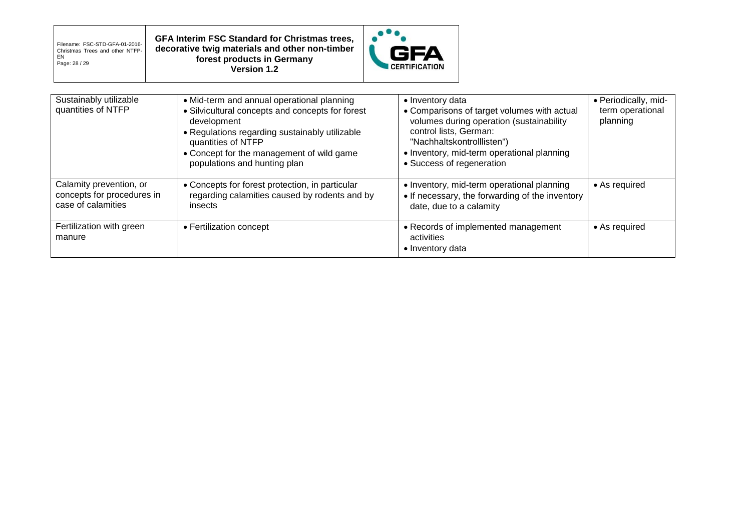| Filename: FSC-STD-GFA-01-2016-<br>Christmas Trees and other NTFP-<br>EN<br>Page: 28 / 29 | <b>GFA Interim FSC Standard for Christmas trees,</b><br>decorative twig materials and other non-timber<br>forest products in Germany<br><b>Version 1.2</b> | GFA<br><b>CERTIFICATION</b> |
|------------------------------------------------------------------------------------------|------------------------------------------------------------------------------------------------------------------------------------------------------------|-----------------------------|
|------------------------------------------------------------------------------------------|------------------------------------------------------------------------------------------------------------------------------------------------------------|-----------------------------|

| Sustainably utilizable<br>quantities of NTFP                                | • Mid-term and annual operational planning<br>• Silvicultural concepts and concepts for forest<br>development<br>• Regulations regarding sustainably utilizable<br>quantities of NTFP<br>• Concept for the management of wild game<br>populations and hunting plan | • Inventory data<br>• Comparisons of target volumes with actual<br>volumes during operation (sustainability<br>control lists, German:<br>"Nachhaltskontrolllisten")<br>• Inventory, mid-term operational planning<br>• Success of regeneration | · Periodically, mid-<br>term operational<br>planning |
|-----------------------------------------------------------------------------|--------------------------------------------------------------------------------------------------------------------------------------------------------------------------------------------------------------------------------------------------------------------|------------------------------------------------------------------------------------------------------------------------------------------------------------------------------------------------------------------------------------------------|------------------------------------------------------|
| Calamity prevention, or<br>concepts for procedures in<br>case of calamities | • Concepts for forest protection, in particular<br>regarding calamities caused by rodents and by<br>insects                                                                                                                                                        | • Inventory, mid-term operational planning<br>• If necessary, the forwarding of the inventory<br>date, due to a calamity                                                                                                                       | • As required                                        |
| Fertilization with green<br>manure                                          | • Fertilization concept                                                                                                                                                                                                                                            | • Records of implemented management<br>activities<br>• Inventory data                                                                                                                                                                          | • As required                                        |